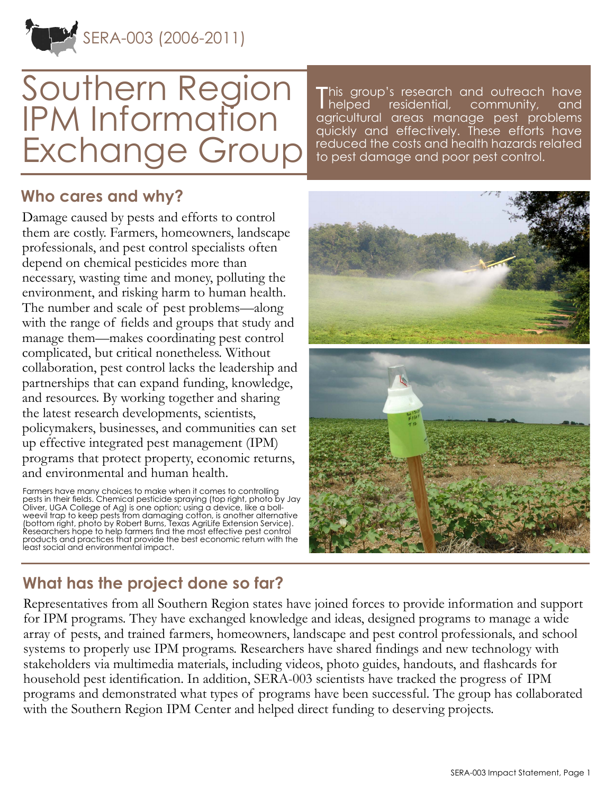SERA-003 (2006-2011)

# Southern Region IPM Information Exchange Group

This group's research and outreach have<br>Thelped residential, community, and helped residential, community, and agricultural areas manage pest problems quickly and effectively. These efforts have reduced the costs and health hazards related to pest damage and poor pest control.

#### **Who cares and why?**

Damage caused by pests and efforts to control them are costly. Farmers, homeowners, landscape professionals, and pest control specialists often depend on chemical pesticides more than necessary, wasting time and money, polluting the environment, and risking harm to human health. The number and scale of pest problems—along with the range of fields and groups that study and manage them—makes coordinating pest control complicated, but critical nonetheless. Without collaboration, pest control lacks the leadership and partnerships that can expand funding, knowledge, and resources. By working together and sharing the latest research developments, scientists, policymakers, businesses, and communities can set up effective integrated pest management (IPM) programs that protect property, economic returns, and environmental and human health.

Farmers have many choices to make when it comes to controlling pests in their fields. Chemical pesticide spraying (top right, photo by Jay Oliver, UGA College of Ag) is one option; using a device, like a bollweevil trap to keep pests from damaging cotton, is another alternative (bottom right, photo by Robert Burns, Texas AgriLife Extension Service). Researchers hope to help farmers find the most effective pest control products and practices that provide the best economic return with the least social and environmental impact.



## **What has the project done so far?**

Representatives from all Southern Region states have joined forces to provide information and support for IPM programs. They have exchanged knowledge and ideas, designed programs to manage a wide array of pests, and trained farmers, homeowners, landscape and pest control professionals, and school systems to properly use IPM programs. Researchers have shared findings and new technology with stakeholders via multimedia materials, including videos, photo guides, handouts, and flashcards for household pest identification. In addition, SERA-003 scientists have tracked the progress of IPM programs and demonstrated what types of programs have been successful. The group has collaborated with the Southern Region IPM Center and helped direct funding to deserving projects.